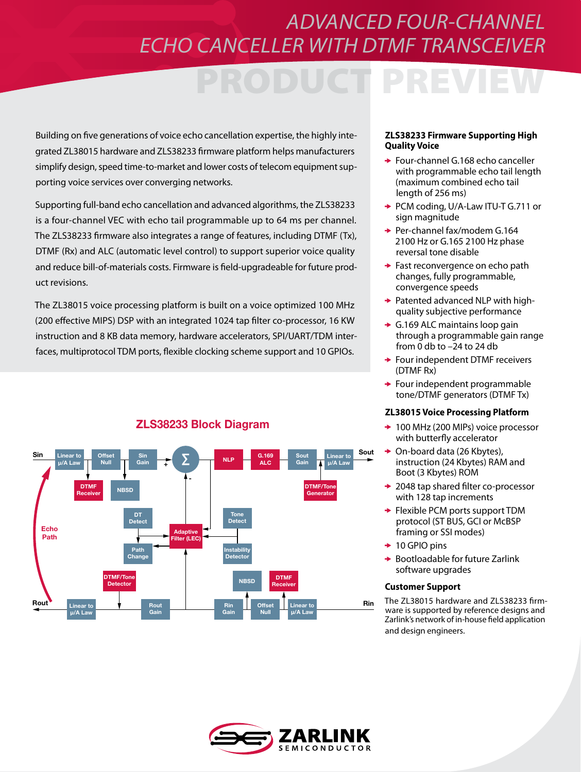## *ADVANCED FOUR-CHANNEL ECHO CANCELLER WITH DTMF TRANSCEIVER*

Building on five generations of voice echo cancellation expertise, the highly integrated ZL38015 hardware and ZLS38233 firmware platform helps manufacturers simplify design, speed time-to-market and lower costs of telecom equipment supporting voice services over converging networks.

Supporting full-band echo cancellation and advanced algorithms, the ZLS38233 is a four-channel VEC with echo tail programmable up to 64 ms per channel. The ZLS38233 firmware also integrates a range of features, including DTMF (Tx), DTMF (Rx) and ALC (automatic level control) to support superior voice quality and reduce bill-of-materials costs. Firmware is field-upgradeable for future product revisions.

The ZL38015 voice processing platform is built on a voice optimized 100 MHz (200 effective MIPS) DSP with an integrated 1024 tap filter co-processor, 16 KW instruction and 8 KB data memory, hardware accelerators, SPI/UART/TDM interfaces, multiprotocol TDM ports, flexible clocking scheme support and 10 GPIOs.

#### Linear to µ/A Law **Offset** Null Sin  $\frac{sin}{tan}$   $\frac{1}{2}$   $\sum$   $\frac{1}{2}$  NLP  $\frac{1}{2}$  ALC ALC Sout Gain Linear to µ/A Law DTMF **NBSD Adaptive** Filter (LEC) Detect Tone **Detect** Path Change Instability Detector DTMF/Tone<br>Detector TMF/Tone NBSD DTMF<br>Detector NBSD Receive **Receiver** Linear to µ/A Law Rout Gain Rin Gain **Offset** Null Linear to µ/A Law DTMF/Tor **Generator** Sout + - Rin Sin Echo Path Rout

### ZLS38233 Block Diagram

#### **ZLS38233 Firmware Supporting High Quality Voice**

- ◆ Four-channel G.168 echo canceller with programmable echo tail length (maximum combined echo tail length of 256 ms)
- ◆ PCM coding, U/A-Law ITU-T G.711 or sign magnitude
- **→ Per-channel fax/modem G.164** 2100 Hz or G.165 2100 Hz phase reversal tone disable
- ◆ Fast reconvergence on echo path changes, fully programmable, convergence speeds
- **→ Patented advanced NLP with high**quality subjective performance
- G.169 ALC maintains loop gain through a programmable gain range from 0 db to –24 to 24 db
- Four independent DTMF receivers (DTMF Rx)
- $\rightarrow$  Four independent programmable tone/DTMF generators (DTMF Tx)

### **ZL38015 Voice Processing Platform**

- ◆ 100 MHz (200 MIPs) voice processor with butterfly accelerator
- On-board data (26 Kbytes), ÷ instruction (24 Kbytes) RAM and Boot (3 Kbytes) ROM
- **→ 2048 tap shared filter co-processor** with 128 tap increments
- **► Flexible PCM ports support TDM** protocol (ST BUS, GCI or McBSP framing or SSI modes)
- $+10$  GPIO pins
- $\rightarrow$  Bootloadable for future Zarlink software upgrades

### **Customer Support**

The ZL38015 hardware and ZLS38233 firmware is supported by reference designs and Zarlink's network of in-house field application and design engineers.